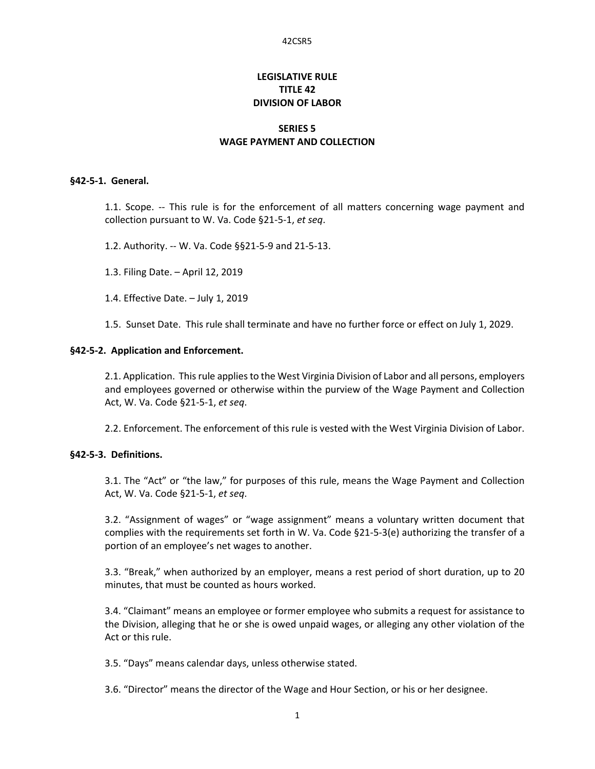# **LEGISLATIVE RULE TITLE 42 DIVISION OF LABOR**

## **SERIES 5 WAGE PAYMENT AND COLLECTION**

#### **§42-5-1. General.**

1.1. Scope. -- This rule is for the enforcement of all matters concerning wage payment and collection pursuant to W. Va. Code §21-5-1, *et seq*.

- 1.2. Authority. -- W. Va. Code §§21-5-9 and 21-5-13.
- 1.3. Filing Date. April 12, 2019
- 1.4. Effective Date. July 1, 2019
- 1.5. Sunset Date. This rule shall terminate and have no further force or effect on July 1, 2029.

#### **§42-5-2. Application and Enforcement.**

2.1. Application. This rule applies to the West Virginia Division of Labor and all persons, employers and employees governed or otherwise within the purview of the Wage Payment and Collection Act, W. Va. Code §21-5-1, *et seq*.

2.2. Enforcement. The enforcement of this rule is vested with the West Virginia Division of Labor.

### **§42-5-3. Definitions.**

3.1. The "Act" or "the law," for purposes of this rule, means the Wage Payment and Collection Act, W. Va. Code §21-5-1, *et seq*.

3.2. "Assignment of wages" or "wage assignment" means a voluntary written document that complies with the requirements set forth in W. Va. Code §21-5-3(e) authorizing the transfer of a portion of an employee's net wages to another.

3.3. "Break," when authorized by an employer, means a rest period of short duration, up to 20 minutes, that must be counted as hours worked.

3.4. "Claimant" means an employee or former employee who submits a request for assistance to the Division, alleging that he or she is owed unpaid wages, or alleging any other violation of the Act or this rule.

3.5. "Days" means calendar days, unless otherwise stated.

3.6. "Director" means the director of the Wage and Hour Section, or his or her designee.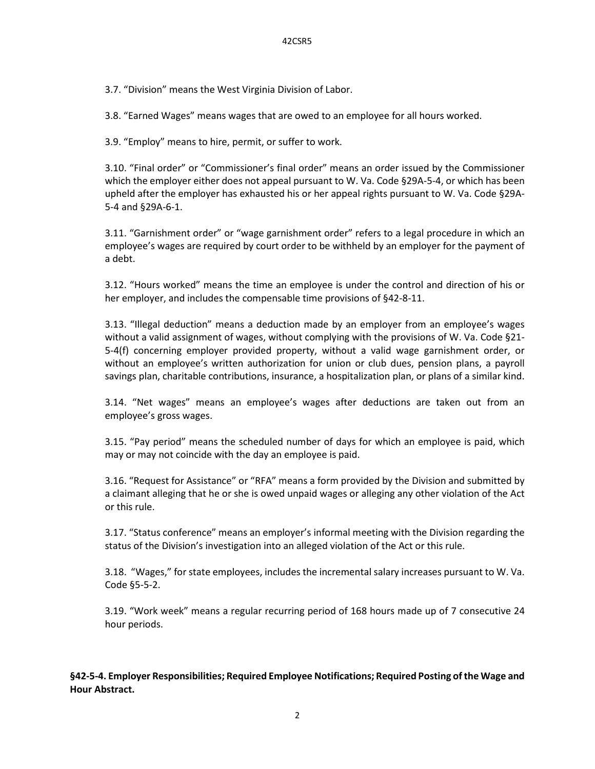3.7. "Division" means the West Virginia Division of Labor.

3.8. "Earned Wages" means wages that are owed to an employee for all hours worked.

3.9. "Employ" means to hire, permit, or suffer to work.

3.10. "Final order" or "Commissioner's final order" means an order issued by the Commissioner which the employer either does not appeal pursuant to W. Va. Code §29A-5-4, or which has been upheld after the employer has exhausted his or her appeal rights pursuant to W. Va. Code §29A-5-4 and §29A-6-1.

3.11. "Garnishment order" or "wage garnishment order" refers to a legal procedure in which an employee's wages are required by court order to be withheld by an employer for the payment of a debt.

3.12. "Hours worked" means the time an employee is under the control and direction of his or her employer, and includes the compensable time provisions of §42-8-11.

3.13. "Illegal deduction" means a deduction made by an employer from an employee's wages without a valid assignment of wages, without complying with the provisions of W. Va. Code §21- 5-4(f) concerning employer provided property, without a valid wage garnishment order, or without an employee's written authorization for union or club dues, pension plans, a payroll savings plan, charitable contributions, insurance, a hospitalization plan, or plans of a similar kind.

3.14. "Net wages" means an employee's wages after deductions are taken out from an employee's gross wages.

3.15. "Pay period" means the scheduled number of days for which an employee is paid, which may or may not coincide with the day an employee is paid.

3.16. "Request for Assistance" or "RFA" means a form provided by the Division and submitted by a claimant alleging that he or she is owed unpaid wages or alleging any other violation of the Act or this rule.

3.17. "Status conference" means an employer's informal meeting with the Division regarding the status of the Division's investigation into an alleged violation of the Act or this rule.

3.18. "Wages," for state employees, includes the incremental salary increases pursuant to W. Va. Code §5-5-2.

3.19. "Work week" means a regular recurring period of 168 hours made up of 7 consecutive 24 hour periods.

**§42-5-4. Employer Responsibilities; Required Employee Notifications; Required Posting of the Wage and Hour Abstract.**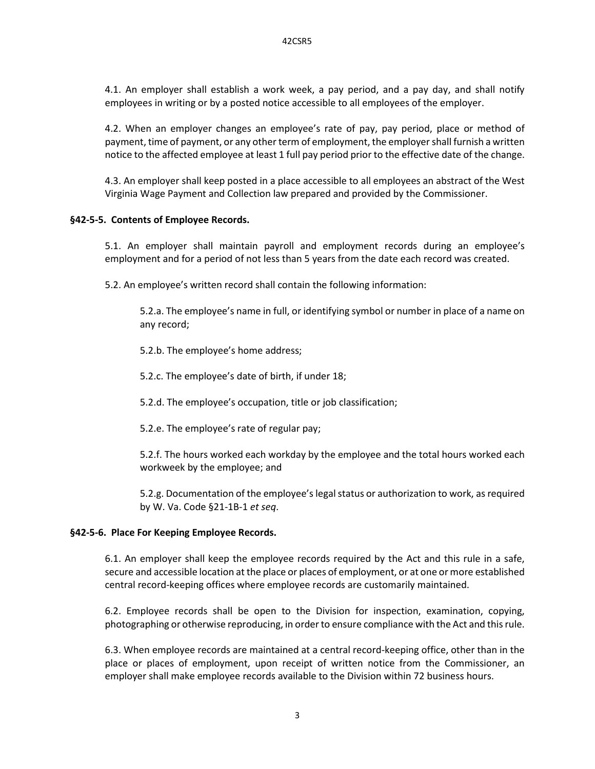4.1. An employer shall establish a work week, a pay period, and a pay day, and shall notify employees in writing or by a posted notice accessible to all employees of the employer.

4.2. When an employer changes an employee's rate of pay, pay period, place or method of payment, time of payment, or any other term of employment, the employer shall furnish a written notice to the affected employee at least 1 full pay period prior to the effective date of the change.

4.3. An employer shall keep posted in a place accessible to all employees an abstract of the West Virginia Wage Payment and Collection law prepared and provided by the Commissioner.

## **§42-5-5. Contents of Employee Records.**

5.1. An employer shall maintain payroll and employment records during an employee's employment and for a period of not less than 5 years from the date each record was created.

5.2. An employee's written record shall contain the following information:

5.2.a. The employee's name in full, or identifying symbol or number in place of a name on any record;

5.2.b. The employee's home address;

5.2.c. The employee's date of birth, if under 18;

5.2.d. The employee's occupation, title or job classification;

5.2.e. The employee's rate of regular pay;

5.2.f. The hours worked each workday by the employee and the total hours worked each workweek by the employee; and

5.2.g. Documentation of the employee's legal status or authorization to work, as required by W. Va. Code §21-1B-1 *et seq*.

#### **§42-5-6. Place For Keeping Employee Records.**

6.1. An employer shall keep the employee records required by the Act and this rule in a safe, secure and accessible location at the place or places of employment, or at one or more established central record-keeping offices where employee records are customarily maintained.

6.2. Employee records shall be open to the Division for inspection, examination, copying, photographing or otherwise reproducing, in order to ensure compliance with the Act and this rule.

6.3. When employee records are maintained at a central record-keeping office, other than in the place or places of employment, upon receipt of written notice from the Commissioner, an employer shall make employee records available to the Division within 72 business hours.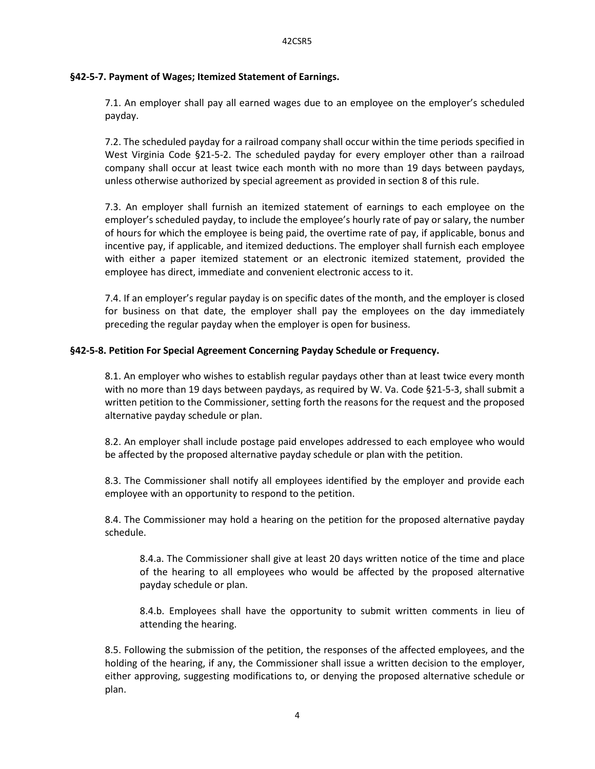## **§42-5-7. Payment of Wages; Itemized Statement of Earnings.**

7.1. An employer shall pay all earned wages due to an employee on the employer's scheduled payday.

7.2. The scheduled payday for a railroad company shall occur within the time periods specified in West Virginia Code §21-5-2. The scheduled payday for every employer other than a railroad company shall occur at least twice each month with no more than 19 days between paydays, unless otherwise authorized by special agreement as provided in section 8 of this rule.

7.3. An employer shall furnish an itemized statement of earnings to each employee on the employer's scheduled payday, to include the employee's hourly rate of pay or salary, the number of hours for which the employee is being paid, the overtime rate of pay, if applicable, bonus and incentive pay, if applicable, and itemized deductions. The employer shall furnish each employee with either a paper itemized statement or an electronic itemized statement, provided the employee has direct, immediate and convenient electronic access to it.

7.4. If an employer's regular payday is on specific dates of the month, and the employer is closed for business on that date, the employer shall pay the employees on the day immediately preceding the regular payday when the employer is open for business.

## **§42-5-8. Petition For Special Agreement Concerning Payday Schedule or Frequency.**

8.1. An employer who wishes to establish regular paydays other than at least twice every month with no more than 19 days between paydays, as required by W. Va. Code §21-5-3, shall submit a written petition to the Commissioner, setting forth the reasons for the request and the proposed alternative payday schedule or plan.

8.2. An employer shall include postage paid envelopes addressed to each employee who would be affected by the proposed alternative payday schedule or plan with the petition.

8.3. The Commissioner shall notify all employees identified by the employer and provide each employee with an opportunity to respond to the petition.

8.4. The Commissioner may hold a hearing on the petition for the proposed alternative payday schedule.

8.4.a. The Commissioner shall give at least 20 days written notice of the time and place of the hearing to all employees who would be affected by the proposed alternative payday schedule or plan.

8.4.b. Employees shall have the opportunity to submit written comments in lieu of attending the hearing.

8.5. Following the submission of the petition, the responses of the affected employees, and the holding of the hearing, if any, the Commissioner shall issue a written decision to the employer, either approving, suggesting modifications to, or denying the proposed alternative schedule or plan.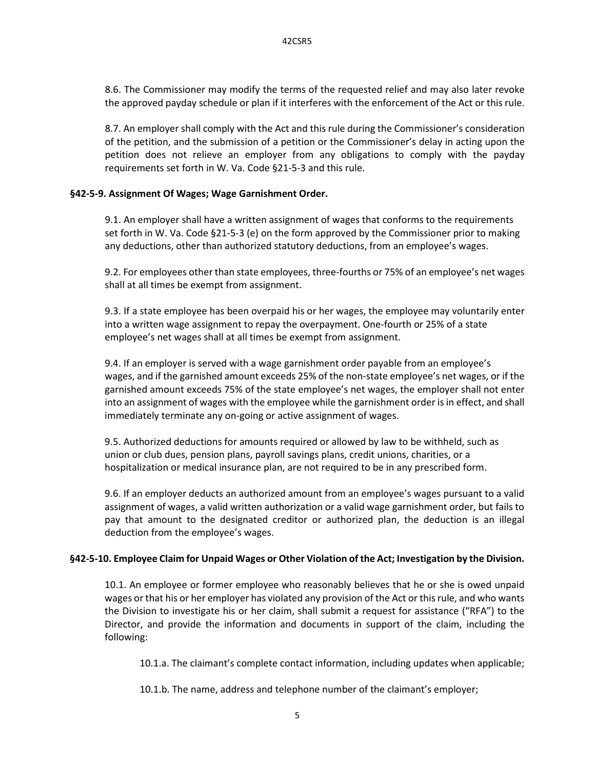8.6. The Commissioner may modify the terms of the requested relief and may also later revoke the approved payday schedule or plan if it interferes with the enforcement of the Act or this rule.

8.7. An employer shall comply with the Act and this rule during the Commissioner's consideration of the petition, and the submission of a petition or the Commissioner's delay in acting upon the petition does not relieve an employer from any obligations to comply with the payday requirements set forth in W. Va. Code §21-5-3 and this rule.

## **§42-5-9. Assignment Of Wages; Wage Garnishment Order.**

9.1. An employer shall have a written assignment of wages that conforms to the requirements set forth in W. Va. Code §21-5-3 (e) on the form approved by the Commissioner prior to making any deductions, other than authorized statutory deductions, from an employee's wages.

9.2. For employees other than state employees, three-fourths or 75% of an employee's net wages shall at all times be exempt from assignment.

9.3. If a state employee has been overpaid his or her wages, the employee may voluntarily enter into a written wage assignment to repay the overpayment. One-fourth or 25% of a state employee's net wages shall at all times be exempt from assignment.

9.4. If an employer is served with a wage garnishment order payable from an employee's wages, and if the garnished amount exceeds 25% of the non-state employee's net wages, or if the garnished amount exceeds 75% of the state employee's net wages, the employer shall not enter into an assignment of wages with the employee while the garnishment order is in effect, and shall immediately terminate any on-going or active assignment of wages.

9.5. Authorized deductions for amounts required or allowed by law to be withheld, such as union or club dues, pension plans, payroll savings plans, credit unions, charities, or a hospitalization or medical insurance plan, are not required to be in any prescribed form.

9.6. If an employer deducts an authorized amount from an employee's wages pursuant to a valid assignment of wages, a valid written authorization or a valid wage garnishment order, but fails to pay that amount to the designated creditor or authorized plan, the deduction is an illegal deduction from the employee's wages.

## **§42-5-10. Employee Claim for Unpaid Wages or Other Violation of the Act; Investigation by the Division.**

10.1. An employee or former employee who reasonably believes that he or she is owed unpaid wages or that his or her employer has violated any provision of the Act or this rule, and who wants the Division to investigate his or her claim, shall submit a request for assistance ("RFA") to the Director, and provide the information and documents in support of the claim, including the following:

10.1.a. The claimant's complete contact information, including updates when applicable;

10.1.b. The name, address and telephone number of the claimant's employer;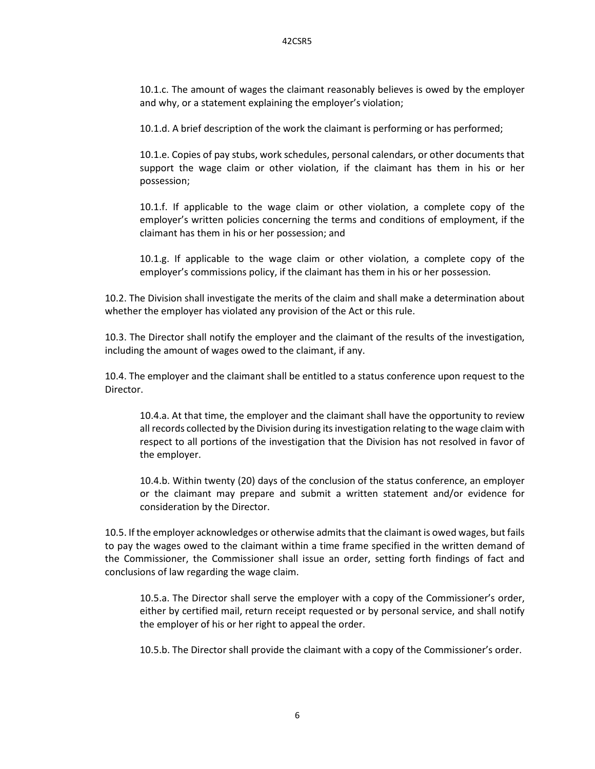10.1.c. The amount of wages the claimant reasonably believes is owed by the employer and why, or a statement explaining the employer's violation;

10.1.d. A brief description of the work the claimant is performing or has performed;

10.1.e. Copies of pay stubs, work schedules, personal calendars, or other documents that support the wage claim or other violation, if the claimant has them in his or her possession;

10.1.f. If applicable to the wage claim or other violation, a complete copy of the employer's written policies concerning the terms and conditions of employment, if the claimant has them in his or her possession; and

10.1.g. If applicable to the wage claim or other violation, a complete copy of the employer's commissions policy, if the claimant has them in his or her possession.

10.2. The Division shall investigate the merits of the claim and shall make a determination about whether the employer has violated any provision of the Act or this rule.

10.3. The Director shall notify the employer and the claimant of the results of the investigation, including the amount of wages owed to the claimant, if any.

10.4. The employer and the claimant shall be entitled to a status conference upon request to the Director.

10.4.a. At that time, the employer and the claimant shall have the opportunity to review all records collected by the Division during its investigation relating to the wage claim with respect to all portions of the investigation that the Division has not resolved in favor of the employer.

10.4.b. Within twenty (20) days of the conclusion of the status conference, an employer or the claimant may prepare and submit a written statement and/or evidence for consideration by the Director.

10.5. If the employer acknowledges or otherwise admits that the claimant is owed wages, but fails to pay the wages owed to the claimant within a time frame specified in the written demand of the Commissioner, the Commissioner shall issue an order, setting forth findings of fact and conclusions of law regarding the wage claim.

10.5.a. The Director shall serve the employer with a copy of the Commissioner's order, either by certified mail, return receipt requested or by personal service, and shall notify the employer of his or her right to appeal the order.

10.5.b. The Director shall provide the claimant with a copy of the Commissioner's order.